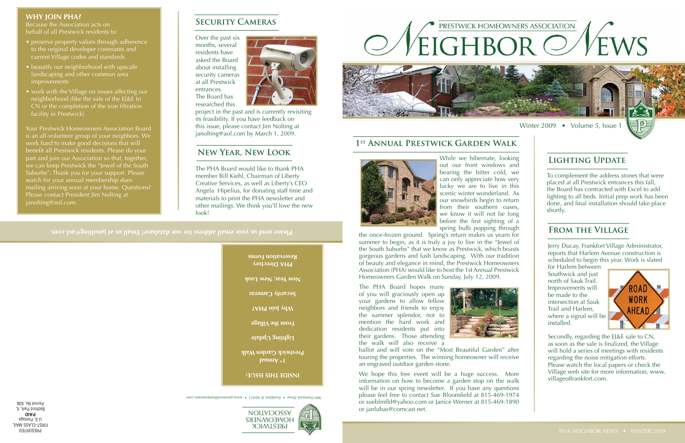**INSIDE THIS ISSUE:**

900 Prestwick Drive · Frankfort, IL 60423 · www.prestwickhomeowners.com





**Please send us your email address for our database! Email us at janolting@aol.com.**

## **Security Cameras**

Over the past six months, several residents have asked the Board about installing security cameras at all Prestwick entrances. The Board has researched this



- preserve property values through adherence to the original developer covenants and current Village codes and standards
- beautify our neighborhood with upscale landscaping and other common area improvements
- work with the Village on issues affecting our neighborhood (like the sale of the EJ&E to CN or the completion of the iron filtration facility in Prestwick)

project in the past and is currently revisiting its feasibility. If you have feedback on this issue, please contact Jim Nolting at janolting@aol.com by March 1, 2009.

#### **WHY JOIN PHA?**

Because the Association acts on behalf of all Prestwick residents to:

Your Prestwick Homeowners Association Board is an all-volunteer group of your neighbors. We work hard to make good decisions that will benefit all Prestwick residents. Please do your part and join our Association so that, together, we can keep Prestwick the "Jewel of the South Suburbs". Thank you for your support. Please watch for your annual membership dues mailing arriving soon at your home. Questions? Please contact President Jim Nolting at janolting@aol.com.

PRESORTED **FIRST-CLASS MAIL** U.S. Postage **PAID** Bedford Park, IL Permit No. 636



Jerry Ducay, Frankfort Village Administrator, reports that Harlem Avenue construction is scheduled to begin this year. Work is slated

While we hibernate, looking out our front windows and bearing the bitter cold, we can only appreciate how very lucky we are to live in this scenic winter wonderland. As our snowbirds begin to return from their southern oases, we know it will not be long before the first sighting of  $\alpha$ spring bulb popping through

the once-frozen ground. Spring's return makes us yearn for summer to begin, as it is truly a joy to live in the "Jewel of the South Suburbs" that we know as Prestwick, which boasts gorgeous gardens and lush landscaping. With our tradition of beauty and elegance in mind, the Prestwick Homeowners Association (PHA) would like to host the 1st Annual Prestwick Homeowners Garden Walk on Sunday, July 12, 2009.

The PHA Board hopes many of you will graciously open up your gardens to allow fellow neighbors and friends to enjoy the summer splendor, not to mention the hard work and dedication residents put into their gardens. Those attending the walk will also receive a



ballot and will vote on the "Most Beautiful Garden" after touring the properties. The winning homeowner will receive an engraved outdoor garden stone.

We hope this free event will be a huge success. More information on how to become a garden stop on the walk will be in our spring newsletter. If you have any questions please feel free to contact Sue Bloomfield at 815-469-1974 or sueblmfld@yahoo.com or Janice Werner at 815-469-1890 or janlubas@comcast.net.

### **1st Annual Prestwick Garden Walk**





## **Lighting Update**

To complement the address stones that were placed at all Prestwick entrances this fall, the Board has contracted with Excel to add lighting to all beds. Initial prep work has been done, and final installation should take place shortly.

for Harlem between Southwick and just north of Sauk Trail. Improvements will be made to the intersection at Sauk Trail and Harlem, where a signal will be installed.



Secondly, regarding the EJ&E sale to CN, as soon as the sale is finalized, the Village will hold a series of meetings with residents regarding the noise mitigation efforts. Please watch the local papers or check the Village web site for more information, www. villageoffrankfort.com.

# **From the Village**

The PHA Board would like to thank PHA member Bill Kiehl, Chairman of Liberty Creative Services, as well as Liberty's CEO Angela Hipelius, for donating staff time and materials to print the PHA newsletter and other mailings. We think you'll love the new look!

### **New Year, New Look**